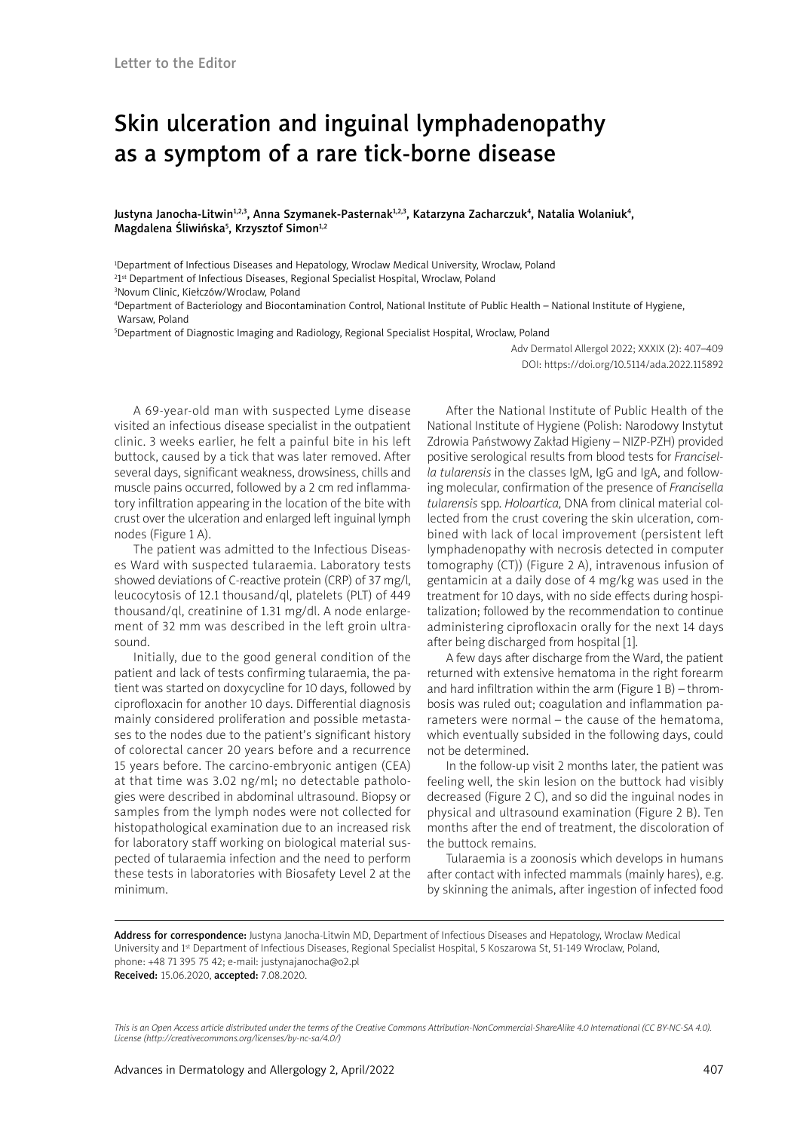## Skin ulceration and inguinal lymphadenopathy as a symptom of a rare tick-borne disease

Justyna Janocha-Litwin<sup>1,2,3</sup>, Anna Szymanek-Pasternak<sup>1,2,3</sup>, Katarzyna Zacharczuk<sup>4</sup>, Natalia Wolaniuk<sup>4</sup>, Magdalena Śliwińska<sup>5</sup>, Krzysztof Simon<sup>1,2</sup>

1 Department of Infectious Diseases and Hepatology, Wroclaw Medical University, Wroclaw, Poland <sup>2</sup>1st Department of Infectious Diseases, Regional Specialist Hospital, Wroclaw, Poland

3 Novum Clinic, Kiełczów/Wroclaw, Poland

4 Department of Bacteriology and Biocontamination Control, National Institute of Public Health – National Institute of Hygiene, Warsaw, Poland

5 Department of Diagnostic Imaging and Radiology, Regional Specialist Hospital, Wroclaw, Poland

Adv Dermatol Allergol 2022; XXXIX (2): 407–409 DOI: https://doi.org/10.5114/ada.2022.115892

A 69-year-old man with suspected Lyme disease visited an infectious disease specialist in the outpatient clinic. 3 weeks earlier, he felt a painful bite in his left buttock, caused by a tick that was later removed. After several days, significant weakness, drowsiness, chills and muscle pains occurred, followed by a 2 cm red inflammatory infiltration appearing in the location of the bite with crust over the ulceration and enlarged left inguinal lymph nodes (Figure 1 A).

The patient was admitted to the Infectious Diseases Ward with suspected tularaemia. Laboratory tests showed deviations of C-reactive protein (CRP) of 37 mg/l, leucocytosis of 12.1 thousand/ql, platelets (PLT) of 449 thousand/ql, creatinine of 1.31 mg/dl. A node enlargement of 32 mm was described in the left groin ultrasound.

Initially, due to the good general condition of the patient and lack of tests confirming tularaemia, the patient was started on doxycycline for 10 days, followed by ciprofloxacin for another 10 days. Differential diagnosis mainly considered proliferation and possible metastases to the nodes due to the patient's significant history of colorectal cancer 20 years before and a recurrence 15 years before. The carcino-embryonic antigen (CEA) at that time was 3.02 ng/ml; no detectable pathologies were described in abdominal ultrasound. Biopsy or samples from the lymph nodes were not collected for histopathological examination due to an increased risk for laboratory staff working on biological material suspected of tularaemia infection and the need to perform these tests in laboratories with Biosafety Level 2 at the minimum.

After the National Institute of Public Health of the National Institute of Hygiene (Polish: Narodowy Instytut Zdrowia Państwowy Zakład Higieny – NIZP-PZH) provided positive serological results from blood tests for *Francisella tularensis* in the classes IgM, IgG and IgA, and following molecular, confirmation of the presence of *Francisella tularensis* spp. *Holoartica,* DNA from clinical material collected from the crust covering the skin ulceration, combined with lack of local improvement (persistent left lymphadenopathy with necrosis detected in computer tomography (CT)) (Figure 2 A), intravenous infusion of gentamicin at a daily dose of 4 mg/kg was used in the treatment for 10 days, with no side effects during hospitalization; followed by the recommendation to continue administering ciprofloxacin orally for the next 14 days after being discharged from hospital [1].

A few days after discharge from the Ward, the patient returned with extensive hematoma in the right forearm and hard infiltration within the arm (Figure 1 B) – thrombosis was ruled out; coagulation and inflammation parameters were normal – the cause of the hematoma, which eventually subsided in the following days, could not be determined.

In the follow-up visit 2 months later, the patient was feeling well, the skin lesion on the buttock had visibly decreased (Figure 2 C), and so did the inguinal nodes in physical and ultrasound examination (Figure 2 B). Ten months after the end of treatment, the discoloration of the buttock remains.

Tularaemia is a zoonosis which develops in humans after contact with infected mammals (mainly hares), e.g. by skinning the animals, after ingestion of infected food

Address for correspondence: Justyna Janocha-Litwin MD, Department of Infectious Diseases and Hepatology, Wroclaw Medical University and 1<sup>st</sup> Department of Infectious Diseases, Regional Specialist Hospital, 5 Koszarowa St, 51-149 Wroclaw, Poland, phone: +48 71 395 75 42; e-mail: justynajanocha@o2.pl Received: 15.06.2020, accepted: 7.08.2020.

*This is an Open Access article distributed under the terms of the Creative Commons Attribution-NonCommercial-ShareAlike 4.0 International (CC BY-NC-SA 4.0). License (http://creativecommons.org/licenses/by-nc-sa/4.0/)*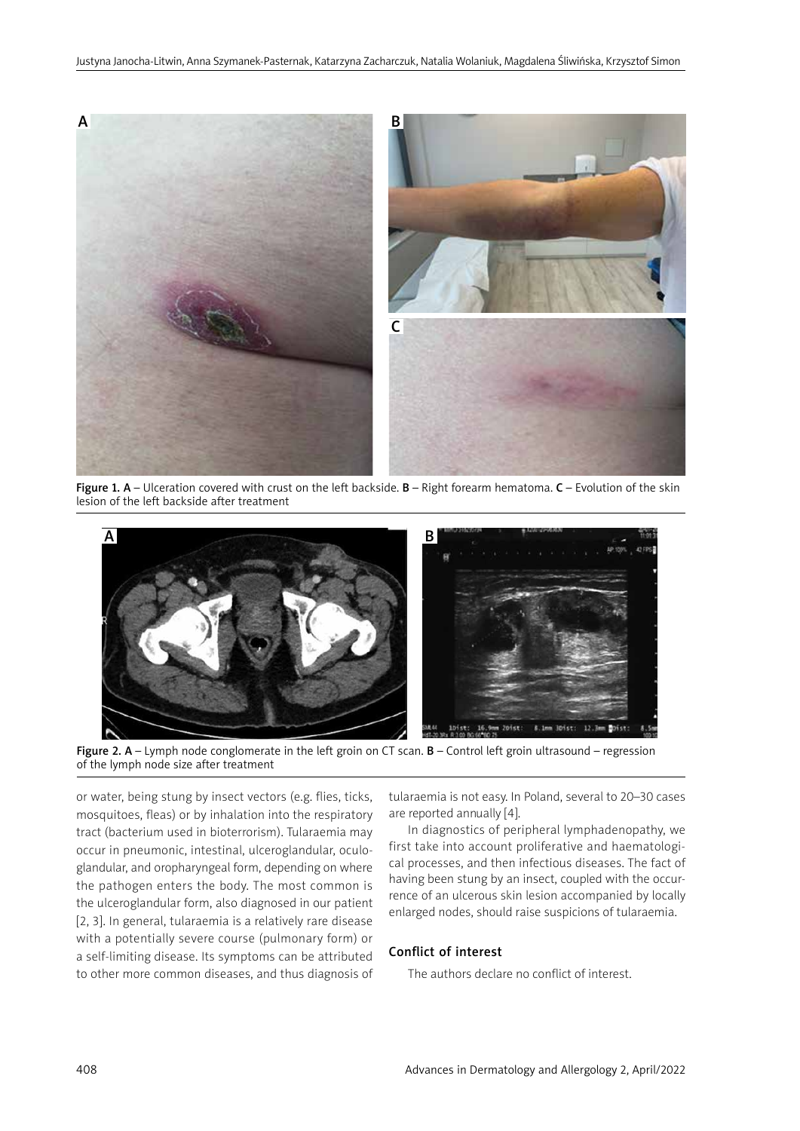

Figure 1.  $A$  – Ulceration covered with crust on the left backside.  $B$  – Right forearm hematoma.  $C$  – Evolution of the skin lesion of the left backside after treatment



Figure 2.  $A -$  Lymph node conglomerate in the left groin on CT scan.  $B -$  Control left groin ultrasound – regression of the lymph node size after treatment

or water, being stung by insect vectors (e.g. flies, ticks, mosquitoes, fleas) or by inhalation into the respiratory tract (bacterium used in bioterrorism). Tularaemia may occur in pneumonic, intestinal, ulceroglandular, oculoglandular, and oropharyngeal form, depending on where the pathogen enters the body. The most common is the ulceroglandular form, also diagnosed in our patient [2, 3]. In general, tularaemia is a relatively rare disease with a potentially severe course (pulmonary form) or a self-limiting disease. Its symptoms can be attributed to other more common diseases, and thus diagnosis of tularaemia is not easy. In Poland, several to 20–30 cases are reported annually [4].

In diagnostics of peripheral lymphadenopathy, we first take into account proliferative and haematological processes, and then infectious diseases. The fact of having been stung by an insect, coupled with the occurrence of an ulcerous skin lesion accompanied by locally enlarged nodes, should raise suspicions of tularaemia.

## Conflict of interest

The authors declare no conflict of interest.